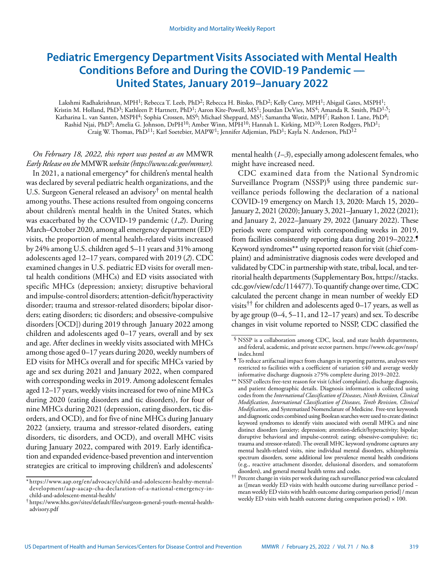# **Pediatric Emergency Department Visits Associated with Mental Health Conditions Before and During the COVID-19 Pandemic — United States, January 2019–January 2022**

Lakshmi Radhakrishnan, MPH<sup>1</sup>; Rebecca T. Leeb, PhD<sup>2</sup>; Rebecca H. Bitsko, PhD<sup>2</sup>; Kelly Carey, MPH<sup>1</sup>; Abigail Gates, MSPH<sup>1</sup>; Kristin M. Holland, PhD<sup>3</sup>; Kathleen P. Hartnett, PhD<sup>1</sup>; Aaron Kite-Powell, MS<sup>1</sup>; Jourdan DeVies, MS<sup>4</sup>; Amanda R. Smith, PhD<sup>1,5</sup>; Katharina L. van Santen, MSPH<sup>4</sup>; Sophia Crossen, MS<sup>6</sup>; Michael Sheppard, MS<sup>1</sup>; Samantha Wotiz, MPH<sup>7</sup>; Rashon I. Lane, PhD<sup>8</sup>; Rashid Njai, PhD9; Amelia G. Johnson, DrPH10; Amber Winn, MPH10; Hannah L. Kirking, MD10; Loren Rodgers, PhD1; Craig W. Thomas, PhD<sup>11</sup>; Karl Soetebier, MAPW<sup>1</sup>; Jennifer Adjemian, PhD<sup>1</sup>; Kayla N. Anderson, PhD<sup>12</sup>

*On February 18, 2022, this report was posted as an* MMWR *Early Release on the* MMWR *website (<https://www.cdc.gov/mmwr>).*

In 2021, a national emergency\* for children's mental health was declared by several pediatric health organizations, and the U.S. Surgeon General released an advisory† on mental health among youths. These actions resulted from ongoing concerns about children's mental health in the United States, which was exacerbated by the COVID-19 pandemic (*1*,*2*). During March–October 2020, among all emergency department (ED) visits, the proportion of mental health-related visits increased by 24% among U.S. children aged 5–11 years and 31% among adolescents aged 12–17 years, compared with 2019 (*2*). CDC examined changes in U.S. pediatric ED visits for overall mental health conditions (MHCs) and ED visits associated with specific MHCs (depression; anxiety; disruptive behavioral and impulse-control disorders; attention-deficit/hyperactivity disorder; trauma and stressor-related disorders; bipolar disorders; eating disorders; tic disorders; and obsessive-compulsive disorders [OCD]) during 2019 through January 2022 among children and adolescents aged 0–17 years, overall and by sex and age. After declines in weekly visits associated with MHCs among those aged 0–17 years during 2020, weekly numbers of ED visits for MHCs overall and for specific MHCs varied by age and sex during 2021 and January 2022, when compared with corresponding weeks in 2019. Among adolescent females aged 12–17 years, weekly visits increased for two of nine MHCs during 2020 (eating disorders and tic disorders), for four of nine MHCs during 2021 (depression, eating disorders, tic disorders, and OCD), and for five of nine MHCs during January 2022 (anxiety, trauma and stressor-related disorders, eating disorders, tic disorders, and OCD), and overall MHC visits during January 2022, compared with 2019. Early identification and expanded evidence-based prevention and intervention strategies are critical to improving children's and adolescents'

mental health (*1*–*3*), especially among adolescent females, who might have increased need.

CDC examined data from the National Syndromic Surveillance Program  $(NSSP)^{\S}$  using three pandemic surveillance periods following the declaration of a national COVID-19 emergency on March 13, 2020: March 15, 2020– January 2, 2021 (2020); January 3, 2021–January 1, 2022 (2021); and January 2, 2022–January 29, 2022 (January 2022). These periods were compared with corresponding weeks in 2019, from facilities consistently reporting data during 2019–2022.¶ Keyword syndromes\*\* using reported reason for visit (chief complaint) and administrative diagnosis codes were developed and validated by CDC in partnership with state, tribal, local, and territorial health departments (Supplementary Box, [https://stacks.](https://stacks.cdc.gov/view/cdc/114477) [cdc.gov/view/cdc/114477](https://stacks.cdc.gov/view/cdc/114477)). To quantify change over time, CDC calculated the percent change in mean number of weekly ED visits<sup>††</sup> for children and adolescents aged 0–17 years, as well as by age group (0–4, 5–11, and 12–17 years) and sex. To describe changes in visit volume reported to NSSP, CDC classified the

<sup>\*</sup> [https://www.aap.org/en/advocacy/child-and-adolescent-healthy-mental](https://www.aap.org/en/advocacy/child-and-adolescent-healthy-mental-development/aap-aacap-cha-declaration-of-a-national-emergency-in-
child-and-adolescent-mental-health/)[development/aap-aacap-cha-declaration-of-a-national-emergency-in](https://www.aap.org/en/advocacy/child-and-adolescent-healthy-mental-development/aap-aacap-cha-declaration-of-a-national-emergency-in-
child-and-adolescent-mental-health/)[child-and-adolescent-mental-health/](https://www.aap.org/en/advocacy/child-and-adolescent-healthy-mental-development/aap-aacap-cha-declaration-of-a-national-emergency-in-
child-and-adolescent-mental-health/)

<sup>†</sup> [https://www.hhs.gov/sites/default/files/surgeon-general-youth-mental-health](https://www.hhs.gov/sites/default/files/surgeon-general-youth-mental-health-advisory.pdf)[advisory.pdf](https://www.hhs.gov/sites/default/files/surgeon-general-youth-mental-health-advisory.pdf)

<sup>§</sup> NSSP is a collaboration among CDC, local, and state health departments, and federal, academic, and private sector partners. [https://www.cdc.gov/nssp/](https://www.cdc.gov/nssp/index.html) [index.html](https://www.cdc.gov/nssp/index.html)

<sup>¶</sup> To reduce artifactual impact from changes in reporting patterns, analyses were restricted to facilities with a coefficient of variation ≤40 and average weekly informative discharge diagnosis ≥75% complete during 2019–2022.

<sup>\*\*</sup> NSSP collects free-text reason for visit (chief complaint), discharge diagnosis, and patient demographic details. Diagnosis information is collected using codes from the *International Classification of Diseases, Ninth Revision, Clinical Modification*, *International Classification of Diseases, Tenth Revision, Clinical Modification*, and Systematized Nomenclature of Medicine. Free-text keywords and diagnostic codes combined using Boolean searches were used to create distinct keyword syndromes to identify visits associated with overall MHCs and nine distinct disorders (anxiety; depression; attention-deficit/hyperactivity; bipolar; disruptive behavioral and impulse-control; eating; obsessive-compulsive; tic; trauma and stressor-related). The overall MHC keyword syndrome captures any mental health-related visits, nine individual mental disorders, schizophrenia spectrum disorders, some additional low prevalence mental health conditions (e.g., reactive attachment disorder, delusional disorders, and somatoform disorders), and general mental health terms and codes.

<sup>††</sup> Percent change in visits per week during each surveillance period was calculated as ([mean weekly ED visits with health outcome during surveillance period − mean weekly ED visits with health outcome during comparison period] / mean weekly ED visits with health outcome during comparison period)  $\times$  100.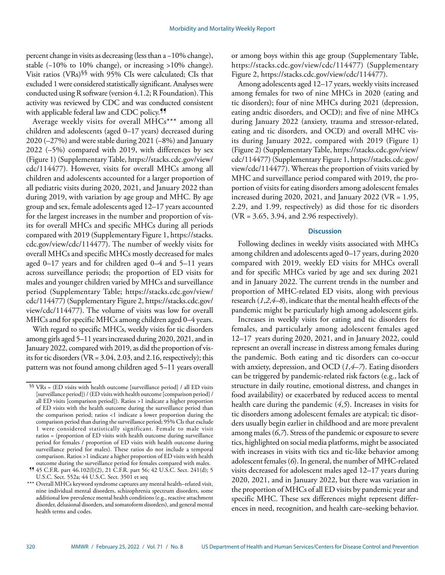percent change in visits as decreasing (less than a −10% change), stable (−10% to 10% change), or increasing >10% change). Visit ratios (VRs)§§ with 95% CIs were calculated; CIs that excluded 1 were considered statistically significant. Analyses were conducted using R software (version 4.1.2; R Foundation). This activity was reviewed by CDC and was conducted consistent with applicable federal law and CDC policy.<sup>11</sup>

Average weekly visits for overall MHCs\*\*\* among all children and adolescents (aged 0–17 years) decreased during 2020 (–27%) and were stable during 2021 (–8%) and January 2022 (–5%) compared with 2019, with differences by sex (Figure 1) (Supplementary Table, [https://stacks.cdc.gov/view/](https://stacks.cdc.gov/view/cdc/114477) [cdc/114477](https://stacks.cdc.gov/view/cdc/114477)). However, visits for overall MHCs among all children and adolescents accounted for a larger proportion of all pediatric visits during 2020, 2021, and January 2022 than during 2019, with variation by age group and MHC. By age group and sex, female adolescents aged 12–17 years accounted for the largest increases in the number and proportion of visits for overall MHCs and specific MHCs during all periods compared with 2019 (Supplementary Figure 1, [https://stacks.](https://stacks.cdc.gov/view/cdc/114477) [cdc.gov/view/cdc/114477](https://stacks.cdc.gov/view/cdc/114477)). The number of weekly visits for overall MHCs and specific MHCs mostly decreased for males aged 0–17 years and for children aged 0–4 and 5–11 years across surveillance periods; the proportion of ED visits for males and younger children varied by MHCs and surveillance period (Supplementary Table; [https://stacks.cdc.gov/view/](https://stacks.cdc.gov/view/cdc/114477) [cdc/114477\)](https://stacks.cdc.gov/view/cdc/114477) (Supplementary Figure 2, [https://stacks.cdc.gov/](https://stacks.cdc.gov/view/cdc/114477) [view/cdc/114477\)](https://stacks.cdc.gov/view/cdc/114477). The volume of visits was low for overall MHCs and for specific MHCs among children aged 0–4 years.

With regard to specific MHCs, weekly visits for tic disorders among girls aged 5–11 years increased during 2020, 2021, and in January 2022, compared with 2019, as did the proportion of visits for tic disorders (VR = 3.04, 2.03, and 2.16, respectively); this pattern was not found among children aged 5–11 years overall or among boys within this age group (Supplementary Table, [https://stacks.cdc.gov/view/cdc/114477\)](https://stacks.cdc.gov/view/cdc/114477) (Supplementary Figure 2,<https://stacks.cdc.gov/view/cdc/114477>).

Among adolescents aged 12–17 years, weekly visits increased among females for two of nine MHCs in 2020 (eating and tic disorders); four of nine MHCs during 2021 (depression, eating andtic disorders, and OCD); and five of nine MHCs during January 2022 (anxiety, trauma and stressor-related, eating and tic disorders, and OCD) and overall MHC visits during January 2022, compared with 2019 (Figure 1) (Figure 2) (Supplementary Table, [https://stacks.cdc.gov/view/](https://stacks.cdc.gov/view/cdc/114477) [cdc/114477](https://stacks.cdc.gov/view/cdc/114477)) (Supplementary Figure 1, [https://stacks.cdc.gov/](https://stacks.cdc.gov/view/cdc/114477) [view/cdc/114477](https://stacks.cdc.gov/view/cdc/114477)). Whereas the proportion of visits varied by MHC and surveillance period compared with 2019, the proportion of visits for eating disorders among adolescent females increased during 2020, 2021, and January 2022 (VR = 1.95, 2.29, and 1.99, respectively) as did those for tic disorders (VR = 3.65, 3.94, and 2.96 respectively).

### **Discussion**

Following declines in weekly visits associated with MHCs among children and adolescents aged 0–17 years, during 2020 compared with 2019, weekly ED visits for MHCs overall and for specific MHCs varied by age and sex during 2021 and in January 2022. The current trends in the number and proportion of MHC-related ED visits, along with previous research (*1*,*2*,*4*–*8*), indicate that the mental health effects of the pandemic might be particularly high among adolescent girls.

Increases in weekly visits for eating and tic disorders for females, and particularly among adolescent females aged 12–17 years during 2020, 2021, and in January 2022, could represent an overall increase in distress among females during the pandemic. Both eating and tic disorders can co-occur with anxiety, depression, and OCD (*1*,*4*–*7*). Eating disorders can be triggered by pandemic-related risk factors (e.g., lack of structure in daily routine, emotional distress, and changes in food availability) or exacerbated by reduced access to mental health care during the pandemic (*4*,*5*). Increases in visits for tic disorders among adolescent females are atypical; tic disorders usually begin earlier in childhood and are more prevalent among males (*6*,*7*). Stress of the pandemic or exposure to severe tics, highlighted on social media platforms, might be associated with increases in visits with tics and tic-like behavior among adolescent females (*6*). In general, the number of MHC-related visits decreased for adolescent males aged 12–17 years during 2020, 2021, and in January 2022, but there was variation in the proportion of MHCs of all ED visits by pandemic year and specific MHC. These sex differences might represent differences in need, recognition, and health care–seeking behavior.

 $$ \$  VRs = (ED visits with health outcome [surveillance period] / all ED visits [surveillance period]) / (ED visits with health outcome [comparison period] / all ED visits [comparison period]). Ratios >1 indicate a higher proportion of ED visits with the health outcome during the surveillance period than the comparison period; ratios <1 indicate a lower proportion during the comparison period than during the surveillance period; 95% CIs that exclude 1 were considered statistically significant. Female to male visit ratios = (proportion of ED visits with health outcome during surveillance period for females / proportion of ED visits with health outcome during surveillance period for males). These ratios do not include a temporal comparison. Ratios >1 indicate a higher proportion of ED visits with health outcome during the surveillance period for females compared with males.

<sup>¶¶</sup> 45 C.F.R. part 46.102(l)(2), 21 C.F.R. part 56; 42 U.S.C. Sect. 241(d); 5 U.S.C. Sect. 552a; 44 U.S.C. Sect. 3501 et seq

<sup>\*\*\*</sup> Overall MHCs keyword syndrome captures any mental health-related visit, nine individual mental disorders, schizophrenia spectrum disorders, some additional low prevalence mental health conditions (e.g., reactive attachment disorder, delusional disorders, and somatoform disorders), and general mental health terms and codes.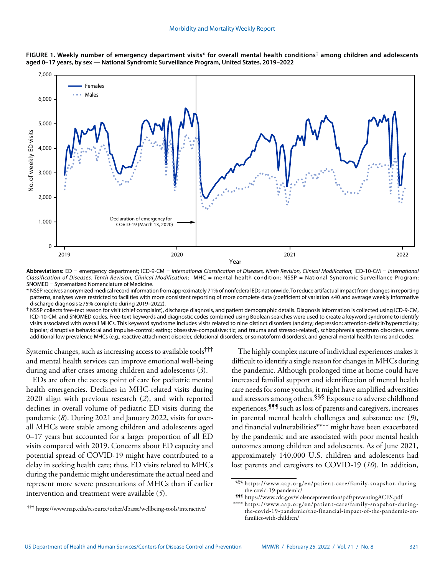



**Abbreviations:** ED = emergency department; ICD-9-CM = *International Classification of Diseases, Ninth Revision, Clinical Modification*; ICD-10-CM = *International Classification of Diseases, Tenth Revision, Clinical Modification*; MHC = mental health condition; NSSP = National Syndromic Surveillance Program; SNOMED = Systematized Nomenclature of Medicine.

\* NSSP receives anonymized medical record information from approximately 71% of nonfederal EDs nationwide. To reduce artifactual impact from changes in reporting patterns, analyses were restricted to facilities with more consistent reporting of more complete data (coefficient of variation ≤40 and average weekly informative discharge diagnosis ≥75% complete during 2019–2022).

† NSSP collects free-text reason for visit (chief complaint), discharge diagnosis, and patient demographic details. Diagnosis information is collected using ICD-9-CM, ICD-10-CM, and SNOMED codes. Free-text keywords and diagnostic codes combined using Boolean searches were used to create a keyword syndrome to identify visits associated with overall MHCs. This keyword syndrome includes visits related to nine distinct disorders (anxiety; depression; attention-deficit/hyperactivity; bipolar; disruptive behavioral and impulse-control; eating; obsessive-compulsive; tic; and trauma and stressor-related), schizophrenia spectrum disorders, some additional low prevalence MHCs (e.g., reactive attachment disorder, delusional disorders, or somatoform disorders), and general mental health terms and codes.

Systemic changes, such as increasing access to available tools††† and mental health services can improve emotional well-being during and after crises among children and adolescents (*3*).

EDs are often the access point of care for pediatric mental health emergencies. Declines in MHC-related visits during 2020 align with previous research (*2*), and with reported declines in overall volume of pediatric ED visits during the pandemic (*8*). During 2021 and January 2022, visits for overall MHCs were stable among children and adolescents aged 0–17 years but accounted for a larger proportion of all ED visits compared with 2019. Concerns about ED capacity and potential spread of COVID-19 might have contributed to a delay in seeking health care; thus, ED visits related to MHCs during the pandemic might underestimate the actual need and represent more severe presentations of MHCs than if earlier intervention and treatment were available (*5*).

The highly complex nature of individual experiences makes it difficult to identify a single reason for changes in MHCs during the pandemic. Although prolonged time at home could have increased familial support and identification of mental health care needs for some youths, it might have amplified adversities and stressors among others.<sup>§§§</sup> Exposure to adverse childhood experiences,¶¶¶ such as loss of parents and caregivers, increases in parental mental health challenges and substance use (*9*), and financial vulnerabilities\*\*\*\* might have been exacerbated by the pandemic and are associated with poor mental health outcomes among children and adolescents. As of June 2021, approximately 140,000 U.S. children and adolescents had lost parents and caregivers to COVID-19 (*10*). In addition,

<sup>§§§</sup> [https://www.aap.org/en/patient-care/family-snapshot-during](https://www.aap.org/en/patient-care/family-snapshot-during- the-covid-19-pandemic/)[the-covid-19-pandemic/](https://www.aap.org/en/patient-care/family-snapshot-during- the-covid-19-pandemic/)

<sup>¶¶¶</sup> <https://www.cdc.gov/violenceprevention/pdf/preventingACES.pdf>

<sup>\*\*\*\*</sup> [https://www.aap.org/en/patient-care/family-snapshot-during](https://www.aap.org/en/patient-care/family-snapshot-during-
the-covid-19-pandemic/the-financial-impact-of-the-pandemic-on-
families-with-children/)[the-covid-19-pandemic/the-financial-impact-of-the-pandemic-on](https://www.aap.org/en/patient-care/family-snapshot-during-
the-covid-19-pandemic/the-financial-impact-of-the-pandemic-on-
families-with-children/)[families-with-children/](https://www.aap.org/en/patient-care/family-snapshot-during-
the-covid-19-pandemic/the-financial-impact-of-the-pandemic-on-
families-with-children/)

<sup>†††</sup> <https://www.nap.edu/resource/other/dbasse/wellbeing-tools/interactive/>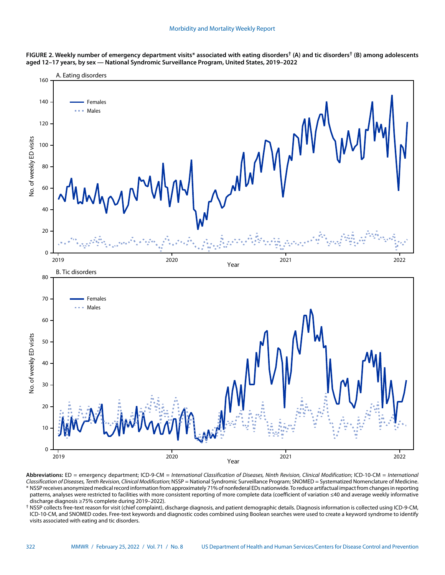



**Abbreviations:** ED = emergency department; ICD-9-CM = *International Classification of Diseases, Ninth Revision, Clinical Modification*; ICD-10-CM = *International Classification of Diseases, Tenth Revision, Clinical Modification*; NSSP = National Syndromic Surveillance Program; SNOMED = Systematized Nomenclature of Medicine. \* NSSP receives anonymized medical record information from approximately 71% of nonfederal EDs nationwide. To reduce artifactual impact from changes in reporting patterns, analyses were restricted to facilities with more consistent reporting of more complete data (coefficient of variation ≤40 and average weekly informative

discharge diagnosis ≥75% complete during 2019–2022). † NSSP collects free-text reason for visit (chief complaint), discharge diagnosis, and patient demographic details. Diagnosis information is collected using ICD-9-CM, ICD-10-CM, and SNOMED codes. Free-text keywords and diagnostic codes combined using Boolean searches were used to create a keyword syndrome to identify visits associated with eating and tic disorders.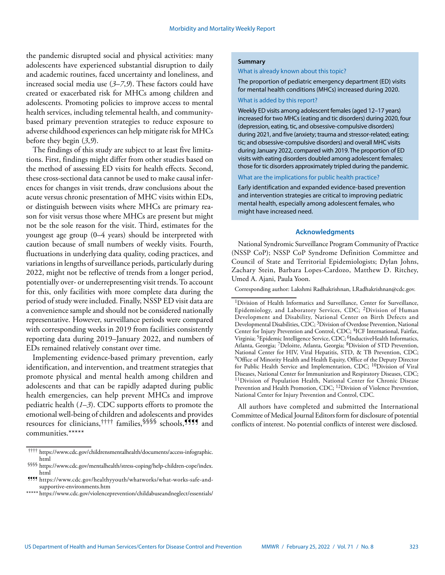the pandemic disrupted social and physical activities: many adolescents have experienced substantial disruption to daily and academic routines, faced uncertainty and loneliness, and increased social media use (*3*–*7*,*9*). These factors could have created or exacerbated risk for MHCs among children and adolescents. Promoting policies to improve access to mental health services, including telemental health, and communitybased primary prevention strategies to reduce exposure to adverse childhood experiences can help mitigate risk for MHCs before they begin (*3*,*9*).

The findings of this study are subject to at least five limitations. First, findings might differ from other studies based on the method of assessing ED visits for health effects. Second, these cross-sectional data cannot be used to make causal inferences for changes in visit trends, draw conclusions about the acute versus chronic presentation of MHC visits within EDs, or distinguish between visits where MHCs are primary reason for visit versus those where MHCs are present but might not be the sole reason for the visit. Third, estimates for the youngest age group (0–4 years) should be interpreted with caution because of small numbers of weekly visits. Fourth, fluctuations in underlying data quality, coding practices, and variations in lengths of surveillance periods, particularly during 2022, might not be reflective of trends from a longer period, potentially over- or underrepresenting visit trends. To account for this, only facilities with more complete data during the period of study were included. Finally, NSSP ED visit data are a convenience sample and should not be considered nationally representative. However, surveillance periods were compared with corresponding weeks in 2019 from facilities consistently reporting data during 2019–January 2022, and numbers of EDs remained relatively constant over time.

Implementing evidence-based primary prevention, early identification, and intervention, and treatment strategies that promote physical and mental health among children and adolescents and that can be rapidly adapted during public health emergencies, can help prevent MHCs and improve pediatric health (*1*–*3*). CDC supports efforts to promote the emotional well-being of children and adolescents and provides resources for clinicians,<sup>††††</sup> families,<sup>§§§§</sup> schools,**!!!** and communities.\*\*\*\*\*

#### **Summary**

What is already known about this topic?

The proportion of pediatric emergency department (ED) visits for mental health conditions (MHCs) increased during 2020.

# What is added by this report?

Weekly ED visits among adolescent females (aged 12–17 years) increased for two MHCs (eating and tic disorders) during 2020, four (depression, eating, tic, and obsessive-compulsive disorders) during 2021, and five (anxiety; trauma and stressor-related; eating; tic; and obsessive-compulsive disorders) and overall MHC visits during January 2022, compared with 2019. The proportion of ED visits with eating disorders doubled among adolescent females; those for tic disorders approximately tripled during the pandemic.

What are the implications for public health practice?

Early identification and expanded evidence-based prevention and intervention strategies are critical to improving pediatric mental health, especially among adolescent females, who might have increased need.

### **Acknowledgments**

National Syndromic Surveillance Program Community of Practice (NSSP CoP); NSSP CoP Syndrome Definition Committee and Council of State and Territorial Epidemiologists; Dylan Johns, Zachary Stein, Barbara Lopes-Cardozo, Matthew D. Ritchey, Umed A. Ajani, Paula Yoon.

Corresponding author: Lakshmi Radhakrishnan, [LRadhakrishnan@cdc.gov.](mailto:LRadhakrishnan@cdc.gov)

All authors have completed and submitted the International Committee of Medical Journal Editors form for disclosure of potential conflicts of interest. No potential conflicts of interest were disclosed.

<sup>††††</sup> [https://www.cdc.gov/childrensmentalhealth/documents/access-infographic.](https://www.cdc.gov/childrensmentalhealth/documents/access-infographic.html) [html](https://www.cdc.gov/childrensmentalhealth/documents/access-infographic.html)

<sup>§§§§</sup> [https://www.cdc.gov/mentalhealth/stress-coping/help-children-cope/index.](https://www.cdc.gov/mentalhealth/stress-coping/help-children-cope/index.html) [html](https://www.cdc.gov/mentalhealth/stress-coping/help-children-cope/index.html)

<sup>¶¶¶¶</sup> [https://www.cdc.gov/healthyyouth/whatworks/what-works-safe-and](https://www.cdc.gov/healthyyouth/whatworks/what-works-safe-and-supportive-environments.htm)[supportive-environments.htm](https://www.cdc.gov/healthyyouth/whatworks/what-works-safe-and-supportive-environments.htm)

<sup>\*\*\*\*\*</sup> <https://www.cdc.gov/violenceprevention/childabuseandneglect/essentials/>

<sup>1</sup>Division of Health Informatics and Surveillance, Center for Surveillance, Epidemiology, and Laboratory Services, CDC; 2Division of Human Development and Disability, National Center on Birth Defects and Developmental Disabilities, CDC; 3Division of Overdose Prevention, National Center for Injury Prevention and Control, CDC; <sup>4</sup>ICF International, Fairfax, Virginia; 5Epidemic Intelligence Service, CDC; 6InductiveHealth Informatics, Atlanta, Georgia; 7Deloitte, Atlanta, Georgia; 8Division of STD Prevention, National Center for HIV, Viral Hepatitis, STD, & TB Prevention, CDC; <sup>9</sup>Office of Minority Health and Health Equity, Office of the Deputy Director for Public Health Service and Implementation, CDC; 10Division of Viral Diseases, National Center for Immunization and Respiratory Diseases, CDC; <sup>11</sup>Division of Population Health, National Center for Chronic Disease Prevention and Health Promotion, CDC; 12Division of Violence Prevention, National Center for Injury Prevention and Control, CDC.